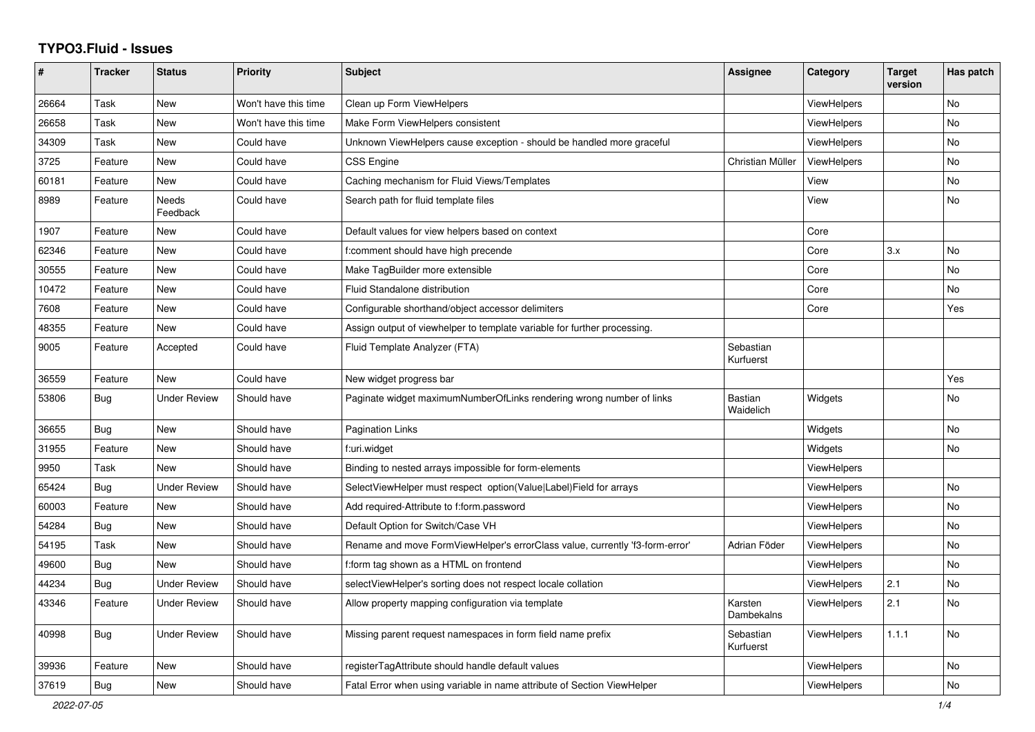## **TYPO3.Fluid - Issues**

| #     | Tracker    | <b>Status</b>       | <b>Priority</b>      | <b>Subject</b>                                                               | Assignee                    | Category           | <b>Target</b><br>version | Has patch      |
|-------|------------|---------------------|----------------------|------------------------------------------------------------------------------|-----------------------------|--------------------|--------------------------|----------------|
| 26664 | Task       | <b>New</b>          | Won't have this time | Clean up Form ViewHelpers                                                    |                             | <b>ViewHelpers</b> |                          | <b>No</b>      |
| 26658 | Task       | New                 | Won't have this time | Make Form ViewHelpers consistent                                             |                             | <b>ViewHelpers</b> |                          | No             |
| 34309 | Task       | New                 | Could have           | Unknown ViewHelpers cause exception - should be handled more graceful        |                             | ViewHelpers        |                          | No             |
| 3725  | Feature    | <b>New</b>          | Could have           | <b>CSS Engine</b>                                                            | Christian Müller            | <b>ViewHelpers</b> |                          | No             |
| 60181 | Feature    | New                 | Could have           | Caching mechanism for Fluid Views/Templates                                  |                             | View               |                          | No             |
| 8989  | Feature    | Needs<br>Feedback   | Could have           | Search path for fluid template files                                         |                             | View               |                          | <b>No</b>      |
| 1907  | Feature    | New                 | Could have           | Default values for view helpers based on context                             |                             | Core               |                          |                |
| 62346 | Feature    | New                 | Could have           | f:comment should have high precende                                          |                             | Core               | 3.x                      | <b>No</b>      |
| 30555 | Feature    | <b>New</b>          | Could have           | Make TagBuilder more extensible                                              |                             | Core               |                          | No             |
| 10472 | Feature    | New                 | Could have           | Fluid Standalone distribution                                                |                             | Core               |                          | No             |
| 7608  | Feature    | <b>New</b>          | Could have           | Configurable shorthand/object accessor delimiters                            |                             | Core               |                          | Yes            |
| 48355 | Feature    | New                 | Could have           | Assign output of viewhelper to template variable for further processing.     |                             |                    |                          |                |
| 9005  | Feature    | Accepted            | Could have           | Fluid Template Analyzer (FTA)                                                | Sebastian<br>Kurfuerst      |                    |                          |                |
| 36559 | Feature    | New                 | Could have           | New widget progress bar                                                      |                             |                    |                          | Yes            |
| 53806 | Bug        | <b>Under Review</b> | Should have          | Paginate widget maximumNumberOfLinks rendering wrong number of links         | <b>Bastian</b><br>Waidelich | Widgets            |                          | <b>No</b>      |
| 36655 | Bug        | New                 | Should have          | <b>Pagination Links</b>                                                      |                             | Widgets            |                          | No             |
| 31955 | Feature    | New                 | Should have          | f:uri.widget                                                                 |                             | Widgets            |                          | No             |
| 9950  | Task       | <b>New</b>          | Should have          | Binding to nested arrays impossible for form-elements                        |                             | ViewHelpers        |                          |                |
| 65424 | Bug        | <b>Under Review</b> | Should have          | SelectViewHelper must respect option(Value Label)Field for arrays            |                             | <b>ViewHelpers</b> |                          | No             |
| 60003 | Feature    | <b>New</b>          | Should have          | Add required-Attribute to f:form.password                                    |                             | <b>ViewHelpers</b> |                          | <b>No</b>      |
| 54284 | Bug        | <b>New</b>          | Should have          | Default Option for Switch/Case VH                                            |                             | ViewHelpers        |                          | <b>No</b>      |
| 54195 | Task       | New                 | Should have          | Rename and move FormViewHelper's errorClass value, currently 'f3-form-error' | Adrian Föder                | ViewHelpers        |                          | N <sub>o</sub> |
| 49600 | Bug        | New                 | Should have          | f:form tag shown as a HTML on frontend                                       |                             | <b>ViewHelpers</b> |                          | No             |
| 44234 | Bug        | <b>Under Review</b> | Should have          | selectViewHelper's sorting does not respect locale collation                 |                             | ViewHelpers        | 2.1                      | No             |
| 43346 | Feature    | <b>Under Review</b> | Should have          | Allow property mapping configuration via template                            | Karsten<br>Dambekalns       | ViewHelpers        | 2.1                      | No             |
| 40998 | Bug        | <b>Under Review</b> | Should have          | Missing parent request namespaces in form field name prefix                  | Sebastian<br>Kurfuerst      | <b>ViewHelpers</b> | 1.1.1                    | No             |
| 39936 | Feature    | New                 | Should have          | registerTagAttribute should handle default values                            |                             | <b>ViewHelpers</b> |                          | No             |
| 37619 | <b>Bug</b> | <b>New</b>          | Should have          | Fatal Error when using variable in name attribute of Section ViewHelper      |                             | <b>ViewHelpers</b> |                          | No             |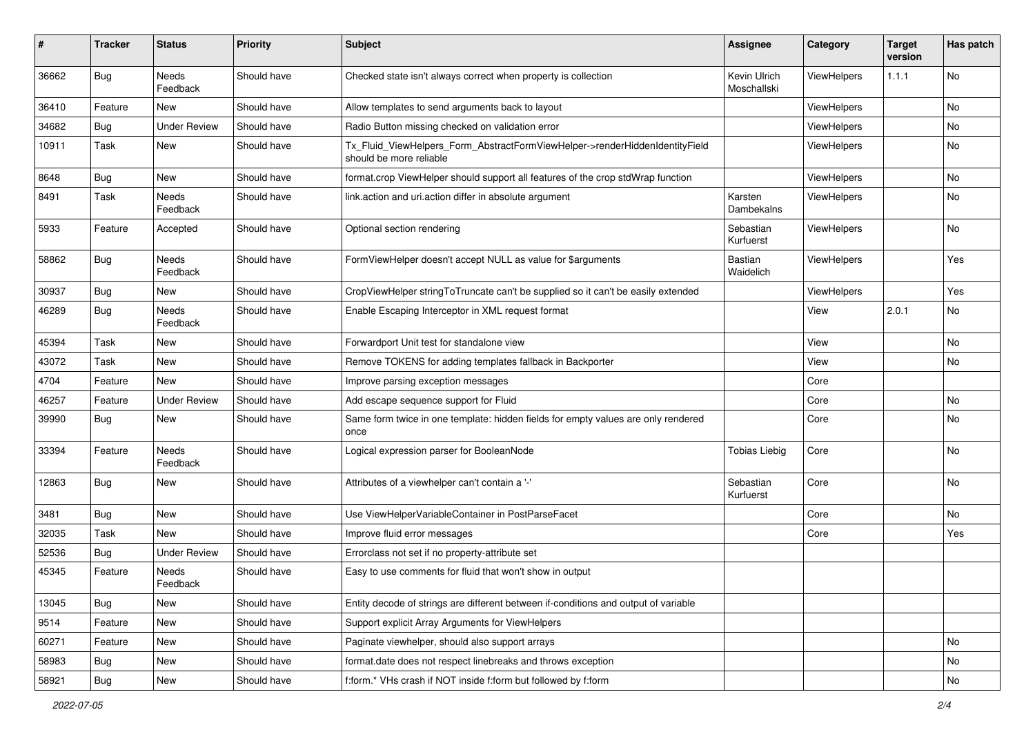| #     | <b>Tracker</b> | <b>Status</b>            | <b>Priority</b> | Subject                                                                                                | <b>Assignee</b>             | Category           | <b>Target</b><br>version | Has patch |
|-------|----------------|--------------------------|-----------------|--------------------------------------------------------------------------------------------------------|-----------------------------|--------------------|--------------------------|-----------|
| 36662 | Bug            | <b>Needs</b><br>Feedback | Should have     | Checked state isn't always correct when property is collection                                         | Kevin Ulrich<br>Moschallski | ViewHelpers        | 1.1.1                    | No        |
| 36410 | Feature        | New                      | Should have     | Allow templates to send arguments back to layout                                                       |                             | ViewHelpers        |                          | No        |
| 34682 | Bug            | <b>Under Review</b>      | Should have     | Radio Button missing checked on validation error                                                       |                             | ViewHelpers        |                          | No        |
| 10911 | Task           | New                      | Should have     | Tx_Fluid_ViewHelpers_Form_AbstractFormViewHelper->renderHiddenIdentityField<br>should be more reliable |                             | <b>ViewHelpers</b> |                          | No        |
| 8648  | Bug            | New                      | Should have     | format.crop ViewHelper should support all features of the crop stdWrap function                        |                             | ViewHelpers        |                          | No        |
| 8491  | Task           | Needs<br>Feedback        | Should have     | link.action and uri.action differ in absolute argument                                                 | Karsten<br>Dambekalns       | ViewHelpers        |                          | No        |
| 5933  | Feature        | Accepted                 | Should have     | Optional section rendering                                                                             | Sebastian<br>Kurfuerst      | <b>ViewHelpers</b> |                          | No        |
| 58862 | Bug            | Needs<br>Feedback        | Should have     | FormViewHelper doesn't accept NULL as value for \$arguments                                            | Bastian<br>Waidelich        | ViewHelpers        |                          | Yes       |
| 30937 | Bug            | New                      | Should have     | CropViewHelper stringToTruncate can't be supplied so it can't be easily extended                       |                             | ViewHelpers        |                          | Yes       |
| 46289 | Bug            | Needs<br>Feedback        | Should have     | Enable Escaping Interceptor in XML request format                                                      |                             | View               | 2.0.1                    | No        |
| 45394 | Task           | New                      | Should have     | Forwardport Unit test for standalone view                                                              |                             | View               |                          | No        |
| 43072 | Task           | New                      | Should have     | Remove TOKENS for adding templates fallback in Backporter                                              |                             | View               |                          | No        |
| 4704  | Feature        | <b>New</b>               | Should have     | Improve parsing exception messages                                                                     |                             | Core               |                          |           |
| 46257 | Feature        | <b>Under Review</b>      | Should have     | Add escape sequence support for Fluid                                                                  |                             | Core               |                          | No        |
| 39990 | Bug            | New                      | Should have     | Same form twice in one template: hidden fields for empty values are only rendered<br>once              |                             | Core               |                          | No        |
| 33394 | Feature        | <b>Needs</b><br>Feedback | Should have     | Logical expression parser for BooleanNode                                                              | <b>Tobias Liebig</b>        | Core               |                          | <b>No</b> |
| 12863 | Bug            | New                      | Should have     | Attributes of a viewhelper can't contain a '-'                                                         | Sebastian<br>Kurfuerst      | Core               |                          | No        |
| 3481  | Bug            | New                      | Should have     | Use ViewHelperVariableContainer in PostParseFacet                                                      |                             | Core               |                          | No        |
| 32035 | Task           | New                      | Should have     | Improve fluid error messages                                                                           |                             | Core               |                          | Yes       |
| 52536 | Bug            | <b>Under Review</b>      | Should have     | Errorclass not set if no property-attribute set                                                        |                             |                    |                          |           |
| 45345 | Feature        | Needs<br>Feedback        | Should have     | Easy to use comments for fluid that won't show in output                                               |                             |                    |                          |           |
| 13045 | Bug            | New                      | Should have     | Entity decode of strings are different between if-conditions and output of variable                    |                             |                    |                          |           |
| 9514  | Feature        | New                      | Should have     | Support explicit Array Arguments for ViewHelpers                                                       |                             |                    |                          |           |
| 60271 | Feature        | New                      | Should have     | Paginate viewhelper, should also support arrays                                                        |                             |                    |                          | No        |
| 58983 | Bug            | New                      | Should have     | format.date does not respect linebreaks and throws exception                                           |                             |                    |                          | No        |
| 58921 | <b>Bug</b>     | New                      | Should have     | f:form.* VHs crash if NOT inside f:form but followed by f:form                                         |                             |                    |                          | No        |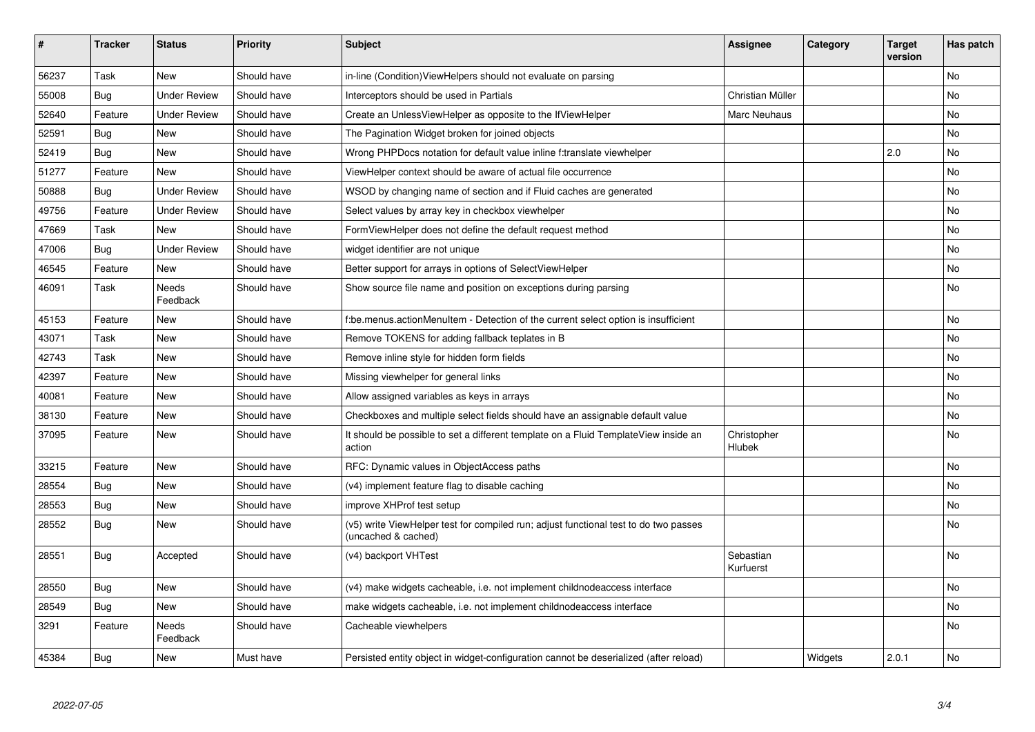| #     | <b>Tracker</b> | <b>Status</b>            | <b>Priority</b> | <b>Subject</b>                                                                                              | Assignee               | Category | <b>Target</b><br>version | Has patch |
|-------|----------------|--------------------------|-----------------|-------------------------------------------------------------------------------------------------------------|------------------------|----------|--------------------------|-----------|
| 56237 | Task           | <b>New</b>               | Should have     | in-line (Condition) ViewHelpers should not evaluate on parsing                                              |                        |          |                          | <b>No</b> |
| 55008 | Bug            | <b>Under Review</b>      | Should have     | Interceptors should be used in Partials                                                                     | Christian Müller       |          |                          | No        |
| 52640 | Feature        | <b>Under Review</b>      | Should have     | Create an Unless View Helper as opposite to the If View Helper                                              | Marc Neuhaus           |          |                          | No        |
| 52591 | Bug            | New                      | Should have     | The Pagination Widget broken for joined objects                                                             |                        |          |                          | No        |
| 52419 | Bug            | <b>New</b>               | Should have     | Wrong PHPDocs notation for default value inline f:translate viewhelper                                      |                        |          | 2.0                      | No        |
| 51277 | Feature        | <b>New</b>               | Should have     | ViewHelper context should be aware of actual file occurrence                                                |                        |          |                          | No        |
| 50888 | Bug            | <b>Under Review</b>      | Should have     | WSOD by changing name of section and if Fluid caches are generated                                          |                        |          |                          | No        |
| 49756 | Feature        | <b>Under Review</b>      | Should have     | Select values by array key in checkbox viewhelper                                                           |                        |          |                          | No        |
| 47669 | Task           | <b>New</b>               | Should have     | FormViewHelper does not define the default request method                                                   |                        |          |                          | No        |
| 47006 | <b>Bug</b>     | <b>Under Review</b>      | Should have     | widget identifier are not unique                                                                            |                        |          |                          | No        |
| 46545 | Feature        | New                      | Should have     | Better support for arrays in options of SelectViewHelper                                                    |                        |          |                          | No        |
| 46091 | Task           | <b>Needs</b><br>Feedback | Should have     | Show source file name and position on exceptions during parsing                                             |                        |          |                          | No        |
| 45153 | Feature        | New                      | Should have     | f:be.menus.actionMenuItem - Detection of the current select option is insufficient                          |                        |          |                          | No        |
| 43071 | Task           | <b>New</b>               | Should have     | Remove TOKENS for adding fallback teplates in B                                                             |                        |          |                          | <b>No</b> |
| 42743 | Task           | New                      | Should have     | Remove inline style for hidden form fields                                                                  |                        |          |                          | No        |
| 42397 | Feature        | <b>New</b>               | Should have     | Missing viewhelper for general links                                                                        |                        |          |                          | No        |
| 40081 | Feature        | <b>New</b>               | Should have     | Allow assigned variables as keys in arrays                                                                  |                        |          |                          | <b>No</b> |
| 38130 | Feature        | New                      | Should have     | Checkboxes and multiple select fields should have an assignable default value                               |                        |          |                          | No        |
| 37095 | Feature        | New                      | Should have     | It should be possible to set a different template on a Fluid TemplateView inside an<br>action               | Christopher<br>Hlubek  |          |                          | No        |
| 33215 | Feature        | <b>New</b>               | Should have     | RFC: Dynamic values in ObjectAccess paths                                                                   |                        |          |                          | No        |
| 28554 | Bug            | <b>New</b>               | Should have     | (v4) implement feature flag to disable caching                                                              |                        |          |                          | No        |
| 28553 | Bug            | <b>New</b>               | Should have     | improve XHProf test setup                                                                                   |                        |          |                          | No        |
| 28552 | Bug            | <b>New</b>               | Should have     | (v5) write ViewHelper test for compiled run; adjust functional test to do two passes<br>(uncached & cached) |                        |          |                          | No        |
| 28551 | Bug            | Accepted                 | Should have     | (v4) backport VHTest                                                                                        | Sebastian<br>Kurfuerst |          |                          | No        |
| 28550 | <b>Bug</b>     | <b>New</b>               | Should have     | (v4) make widgets cacheable, i.e. not implement childnodeaccess interface                                   |                        |          |                          | No        |
| 28549 | Bug            | New                      | Should have     | make widgets cacheable, i.e. not implement childnodeaccess interface                                        |                        |          |                          | No        |
| 3291  | Feature        | Needs<br>Feedback        | Should have     | Cacheable viewhelpers                                                                                       |                        |          |                          | No        |
| 45384 | <b>Bug</b>     | New                      | Must have       | Persisted entity object in widget-configuration cannot be deserialized (after reload)                       |                        | Widgets  | 2.0.1                    | No        |